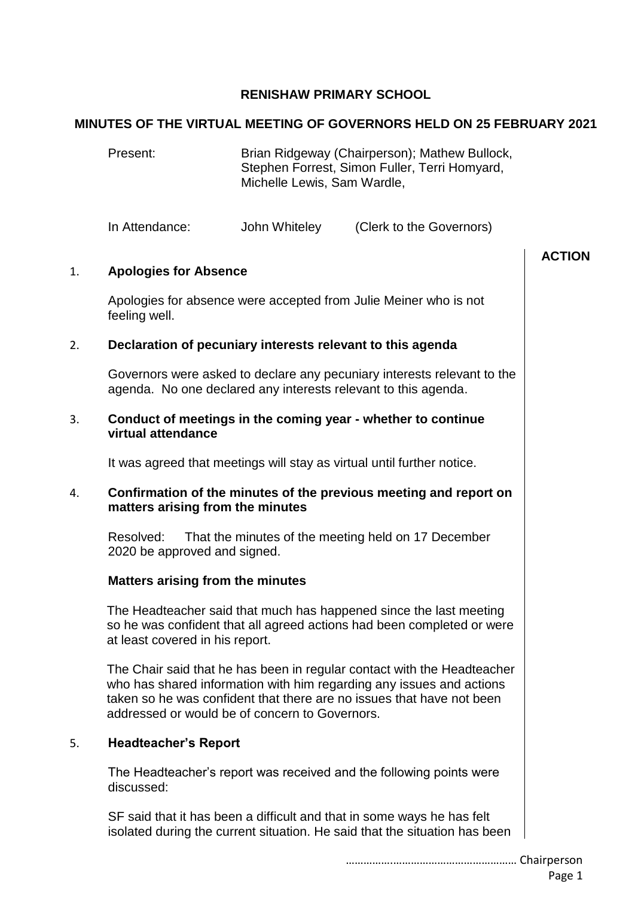## **RENISHAW PRIMARY SCHOOL**

#### **MINUTES OF THE VIRTUAL MEETING OF GOVERNORS HELD ON 25 FEBRUARY 2021**

Present: Brian Ridgeway (Chairperson); Mathew Bullock, Stephen Forrest, Simon Fuller, Terri Homyard, Michelle Lewis, Sam Wardle,

In Attendance: John Whiteley (Clerk to the Governors)

# 1. **Apologies for Absence**

Apologies for absence were accepted from Julie Meiner who is not feeling well.

## 2. **Declaration of pecuniary interests relevant to this agenda**

Governors were asked to declare any pecuniary interests relevant to the agenda. No one declared any interests relevant to this agenda.

#### 3. **Conduct of meetings in the coming year - whether to continue virtual attendance**

It was agreed that meetings will stay as virtual until further notice.

#### 4. **Confirmation of the minutes of the previous meeting and report on matters arising from the minutes**

Resolved: That the minutes of the meeting held on 17 December 2020 be approved and signed.

## **Matters arising from the minutes**

The Headteacher said that much has happened since the last meeting so he was confident that all agreed actions had been completed or were at least covered in his report.

The Chair said that he has been in regular contact with the Headteacher who has shared information with him regarding any issues and actions taken so he was confident that there are no issues that have not been addressed or would be of concern to Governors.

#### 5. **Headteacher's Report**

The Headteacher's report was received and the following points were discussed:

SF said that it has been a difficult and that in some ways he has felt isolated during the current situation. He said that the situation has been **ACTION**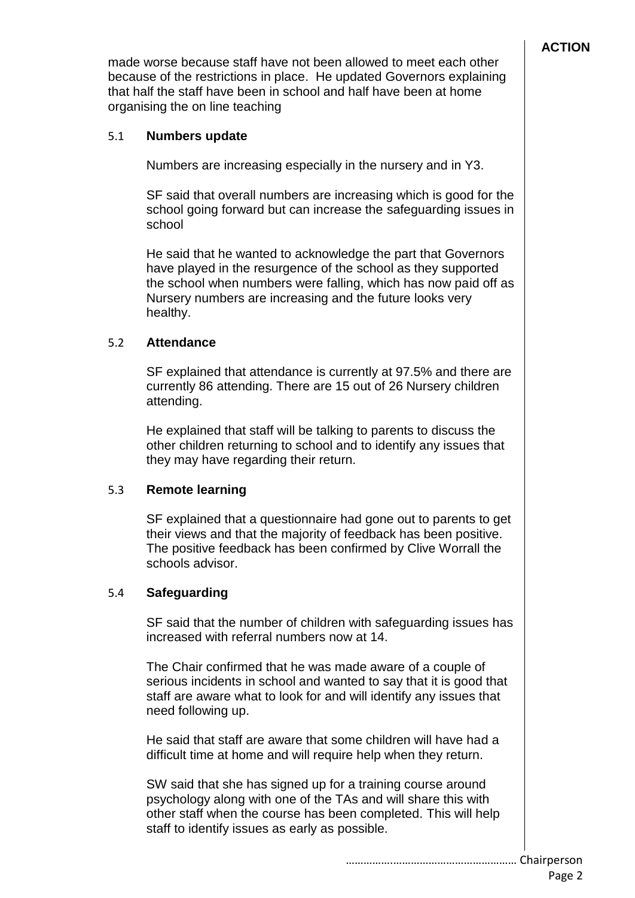made worse because staff have not been allowed to meet each other because of the restrictions in place. He updated Governors explaining that half the staff have been in school and half have been at home organising the on line teaching

## 5.1 **Numbers update**

Numbers are increasing especially in the nursery and in Y3.

SF said that overall numbers are increasing which is good for the school going forward but can increase the safeguarding issues in school

He said that he wanted to acknowledge the part that Governors have played in the resurgence of the school as they supported the school when numbers were falling, which has now paid off as Nursery numbers are increasing and the future looks very healthy.

## 5.2 **Attendance**

SF explained that attendance is currently at 97.5% and there are currently 86 attending. There are 15 out of 26 Nursery children attending.

He explained that staff will be talking to parents to discuss the other children returning to school and to identify any issues that they may have regarding their return.

## 5.3 **Remote learning**

SF explained that a questionnaire had gone out to parents to get their views and that the majority of feedback has been positive. The positive feedback has been confirmed by Clive Worrall the schools advisor.

## 5.4 **Safeguarding**

SF said that the number of children with safeguarding issues has increased with referral numbers now at 14.

The Chair confirmed that he was made aware of a couple of serious incidents in school and wanted to say that it is good that staff are aware what to look for and will identify any issues that need following up.

He said that staff are aware that some children will have had a difficult time at home and will require help when they return.

SW said that she has signed up for a training course around psychology along with one of the TAs and will share this with other staff when the course has been completed. This will help staff to identify issues as early as possible.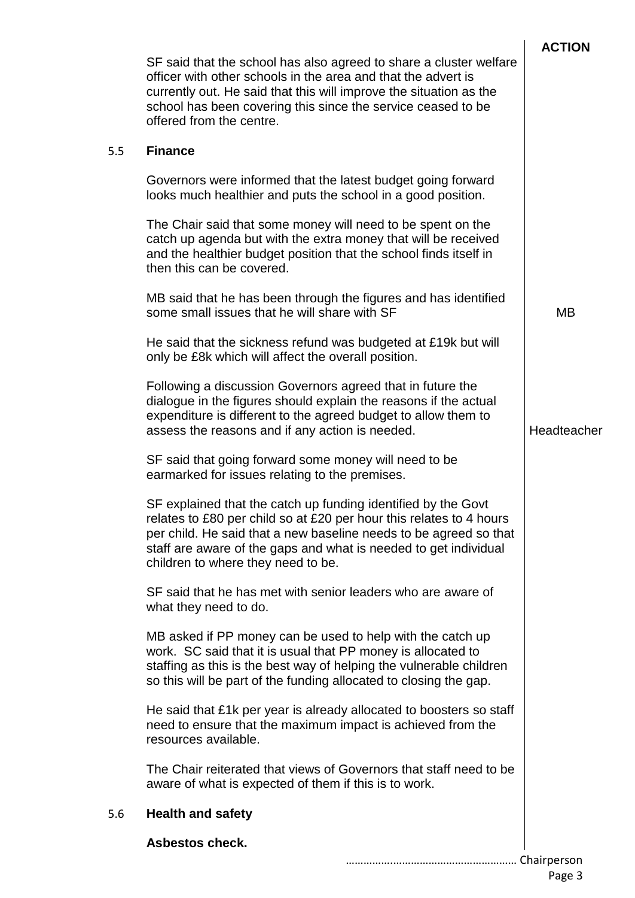|     |                                                                                                                                                                                                                                                                                                                     | <b>ACTION</b> |
|-----|---------------------------------------------------------------------------------------------------------------------------------------------------------------------------------------------------------------------------------------------------------------------------------------------------------------------|---------------|
|     | SF said that the school has also agreed to share a cluster welfare<br>officer with other schools in the area and that the advert is<br>currently out. He said that this will improve the situation as the<br>school has been covering this since the service ceased to be<br>offered from the centre.               |               |
| 5.5 | <b>Finance</b>                                                                                                                                                                                                                                                                                                      |               |
|     | Governors were informed that the latest budget going forward<br>looks much healthier and puts the school in a good position.                                                                                                                                                                                        |               |
|     | The Chair said that some money will need to be spent on the<br>catch up agenda but with the extra money that will be received<br>and the healthier budget position that the school finds itself in<br>then this can be covered.                                                                                     |               |
|     | MB said that he has been through the figures and has identified<br>some small issues that he will share with SF                                                                                                                                                                                                     | <b>MB</b>     |
|     | He said that the sickness refund was budgeted at £19k but will<br>only be £8k which will affect the overall position.                                                                                                                                                                                               |               |
|     | Following a discussion Governors agreed that in future the<br>dialogue in the figures should explain the reasons if the actual<br>expenditure is different to the agreed budget to allow them to<br>assess the reasons and if any action is needed.                                                                 | Headteacher   |
|     | SF said that going forward some money will need to be<br>earmarked for issues relating to the premises.                                                                                                                                                                                                             |               |
|     | SF explained that the catch up funding identified by the Govt<br>relates to £80 per child so at £20 per hour this relates to 4 hours<br>per child. He said that a new baseline needs to be agreed so that<br>staff are aware of the gaps and what is needed to get individual<br>children to where they need to be. |               |
|     | SF said that he has met with senior leaders who are aware of<br>what they need to do.                                                                                                                                                                                                                               |               |
|     | MB asked if PP money can be used to help with the catch up<br>work. SC said that it is usual that PP money is allocated to<br>staffing as this is the best way of helping the vulnerable children<br>so this will be part of the funding allocated to closing the gap.                                              |               |
|     | He said that £1k per year is already allocated to boosters so staff<br>need to ensure that the maximum impact is achieved from the<br>resources available.                                                                                                                                                          |               |
|     | The Chair reiterated that views of Governors that staff need to be<br>aware of what is expected of them if this is to work.                                                                                                                                                                                         |               |
| 5.6 | <b>Health and safety</b>                                                                                                                                                                                                                                                                                            |               |
|     | <b>Asbestos check.</b>                                                                                                                                                                                                                                                                                              |               |
|     |                                                                                                                                                                                                                                                                                                                     |               |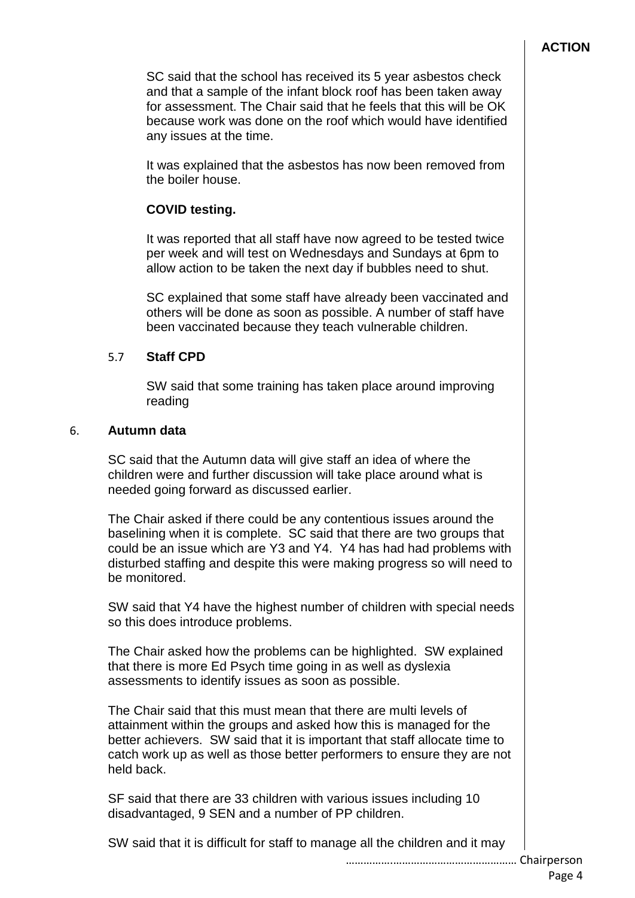SC said that the school has received its 5 year asbestos check and that a sample of the infant block roof has been taken away for assessment. The Chair said that he feels that this will be OK because work was done on the roof which would have identified any issues at the time.

It was explained that the asbestos has now been removed from the boiler house.

## **COVID testing.**

It was reported that all staff have now agreed to be tested twice per week and will test on Wednesdays and Sundays at 6pm to allow action to be taken the next day if bubbles need to shut.

SC explained that some staff have already been vaccinated and others will be done as soon as possible. A number of staff have been vaccinated because they teach vulnerable children.

## 5.7 **Staff CPD**

SW said that some training has taken place around improving reading

#### 6. **Autumn data**

SC said that the Autumn data will give staff an idea of where the children were and further discussion will take place around what is needed going forward as discussed earlier.

The Chair asked if there could be any contentious issues around the baselining when it is complete. SC said that there are two groups that could be an issue which are Y3 and Y4. Y4 has had had problems with disturbed staffing and despite this were making progress so will need to be monitored.

SW said that Y4 have the highest number of children with special needs so this does introduce problems.

The Chair asked how the problems can be highlighted. SW explained that there is more Ed Psych time going in as well as dyslexia assessments to identify issues as soon as possible.

The Chair said that this must mean that there are multi levels of attainment within the groups and asked how this is managed for the better achievers. SW said that it is important that staff allocate time to catch work up as well as those better performers to ensure they are not held back.

SF said that there are 33 children with various issues including 10 disadvantaged, 9 SEN and a number of PP children.

SW said that it is difficult for staff to manage all the children and it may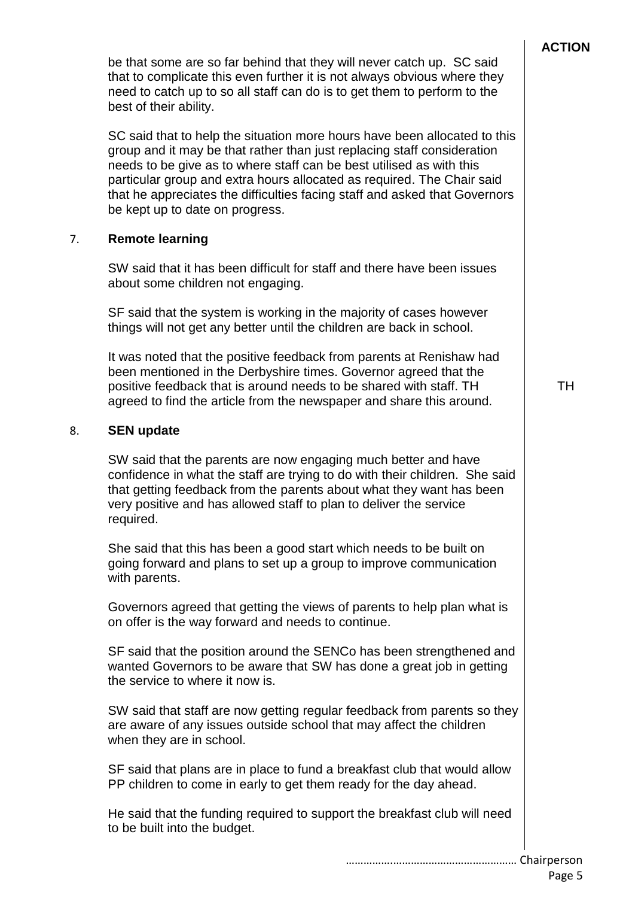be that some are so far behind that they will never catch up. SC said that to complicate this even further it is not always obvious where they need to catch up to so all staff can do is to get them to perform to the best of their ability. SC said that to help the situation more hours have been allocated to this group and it may be that rather than just replacing staff consideration needs to be give as to where staff can be best utilised as with this particular group and extra hours allocated as required. The Chair said that he appreciates the difficulties facing staff and asked that Governors be kept up to date on progress. 7. **Remote learning** SW said that it has been difficult for staff and there have been issues about some children not engaging. SF said that the system is working in the majority of cases however things will not get any better until the children are back in school. It was noted that the positive feedback from parents at Renishaw had been mentioned in the Derbyshire times. Governor agreed that the positive feedback that is around needs to be shared with staff. TH agreed to find the article from the newspaper and share this around. 8. **SEN update** SW said that the parents are now engaging much better and have confidence in what the staff are trying to do with their children. She said that getting feedback from the parents about what they want has been very positive and has allowed staff to plan to deliver the service required. She said that this has been a good start which needs to be built on going forward and plans to set up a group to improve communication with parents. Governors agreed that getting the views of parents to help plan what is on offer is the way forward and needs to continue. SF said that the position around the SENCo has been strengthened and wanted Governors to be aware that SW has done a great job in getting the service to where it now is. SW said that staff are now getting regular feedback from parents so they are aware of any issues outside school that may affect the children when they are in school. SF said that plans are in place to fund a breakfast club that would allow PP children to come in early to get them ready for the day ahead. He said that the funding required to support the breakfast club will need to be built into the budget. TH

…………….…………………………………… Chairperson Page 5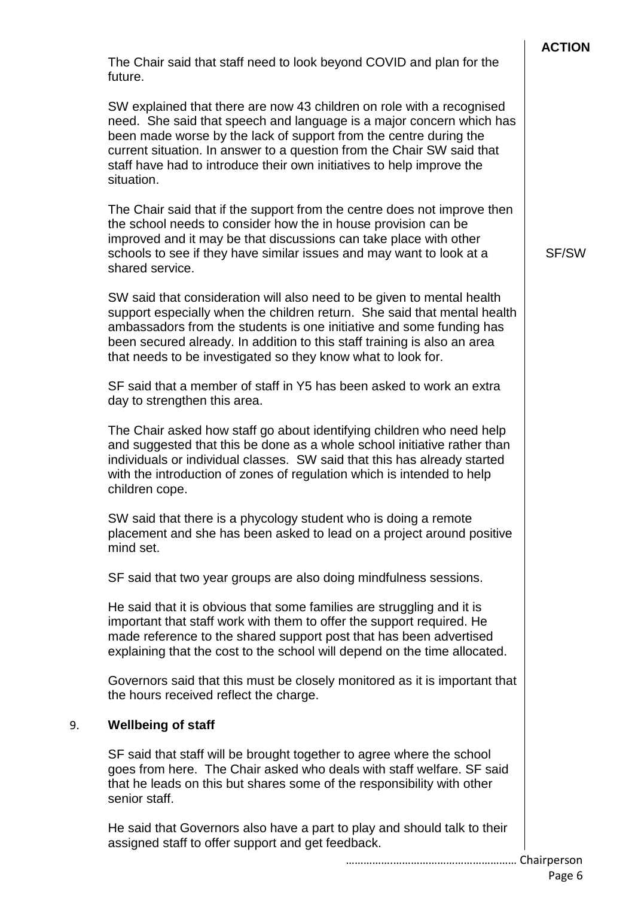|    |                                                                                                                                                                                                                                                                                                                                                                                     | <b>ACTION</b> |
|----|-------------------------------------------------------------------------------------------------------------------------------------------------------------------------------------------------------------------------------------------------------------------------------------------------------------------------------------------------------------------------------------|---------------|
|    | The Chair said that staff need to look beyond COVID and plan for the<br>future.                                                                                                                                                                                                                                                                                                     |               |
|    | SW explained that there are now 43 children on role with a recognised<br>need. She said that speech and language is a major concern which has<br>been made worse by the lack of support from the centre during the<br>current situation. In answer to a question from the Chair SW said that<br>staff have had to introduce their own initiatives to help improve the<br>situation. |               |
|    | The Chair said that if the support from the centre does not improve then<br>the school needs to consider how the in house provision can be<br>improved and it may be that discussions can take place with other<br>schools to see if they have similar issues and may want to look at a<br>shared service.                                                                          | SF/SW         |
|    | SW said that consideration will also need to be given to mental health<br>support especially when the children return. She said that mental health<br>ambassadors from the students is one initiative and some funding has<br>been secured already. In addition to this staff training is also an area<br>that needs to be investigated so they know what to look for.              |               |
|    | SF said that a member of staff in Y5 has been asked to work an extra<br>day to strengthen this area.                                                                                                                                                                                                                                                                                |               |
|    | The Chair asked how staff go about identifying children who need help<br>and suggested that this be done as a whole school initiative rather than<br>individuals or individual classes. SW said that this has already started<br>with the introduction of zones of regulation which is intended to help<br>children cope.                                                           |               |
|    | SW said that there is a phycology student who is doing a remote<br>placement and she has been asked to lead on a project around positive<br>mind set.                                                                                                                                                                                                                               |               |
|    | SF said that two year groups are also doing mindfulness sessions.                                                                                                                                                                                                                                                                                                                   |               |
|    | He said that it is obvious that some families are struggling and it is<br>important that staff work with them to offer the support required. He<br>made reference to the shared support post that has been advertised<br>explaining that the cost to the school will depend on the time allocated.                                                                                  |               |
|    | Governors said that this must be closely monitored as it is important that<br>the hours received reflect the charge.                                                                                                                                                                                                                                                                |               |
| 9. | <b>Wellbeing of staff</b>                                                                                                                                                                                                                                                                                                                                                           |               |
|    | SF said that staff will be brought together to agree where the school<br>goes from here. The Chair asked who deals with staff welfare. SF said<br>that he leads on this but shares some of the responsibility with other<br>senior staff.                                                                                                                                           |               |
|    | He said that Governors also have a part to play and should talk to their<br>assigned staff to offer support and get feedback.                                                                                                                                                                                                                                                       |               |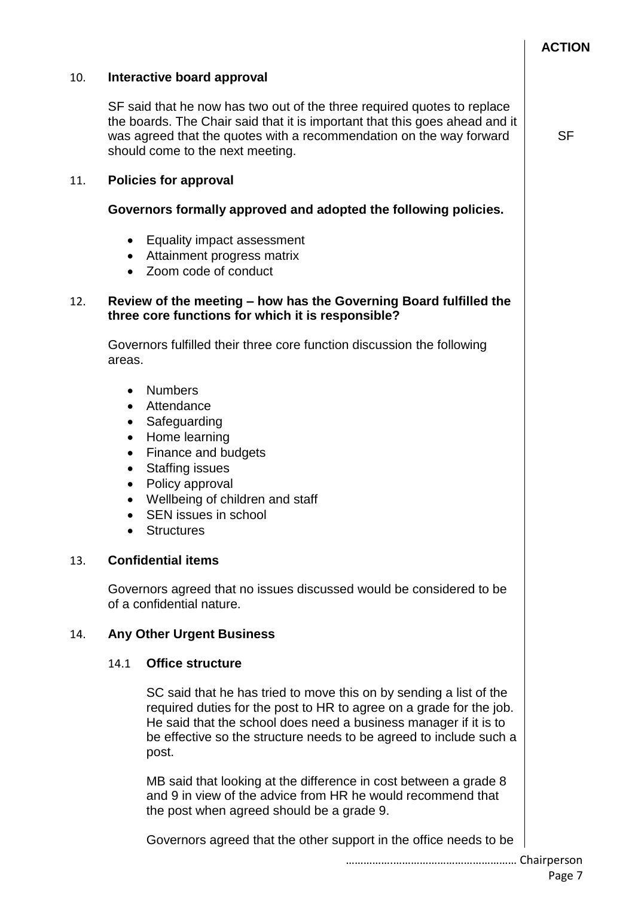|     |                                                                                                      |                                                                                                                                                                                                                                                                                              | <b>ACTION</b> |  |  |
|-----|------------------------------------------------------------------------------------------------------|----------------------------------------------------------------------------------------------------------------------------------------------------------------------------------------------------------------------------------------------------------------------------------------------|---------------|--|--|
| 10. |                                                                                                      | Interactive board approval                                                                                                                                                                                                                                                                   |               |  |  |
|     |                                                                                                      | SF said that he now has two out of the three required quotes to replace<br>the boards. The Chair said that it is important that this goes ahead and it<br>was agreed that the quotes with a recommendation on the way forward<br>should come to the next meeting.                            | <b>SF</b>     |  |  |
| 11. |                                                                                                      | <b>Policies for approval</b>                                                                                                                                                                                                                                                                 |               |  |  |
|     |                                                                                                      | Governors formally approved and adopted the following policies.                                                                                                                                                                                                                              |               |  |  |
|     | $\bullet$<br>$\bullet$<br>$\bullet$                                                                  | Equality impact assessment<br>Attainment progress matrix<br>Zoom code of conduct                                                                                                                                                                                                             |               |  |  |
| 12. |                                                                                                      | Review of the meeting - how has the Governing Board fulfilled the<br>three core functions for which it is responsible?                                                                                                                                                                       |               |  |  |
|     | areas.                                                                                               | Governors fulfilled their three core function discussion the following                                                                                                                                                                                                                       |               |  |  |
|     | $\bullet$<br>$\bullet$<br>$\bullet$<br>$\bullet$<br>$\bullet$<br>$\bullet$<br>$\bullet$<br>$\bullet$ | <b>Numbers</b><br>Attendance<br>Safeguarding<br>Home learning<br>Finance and budgets<br><b>Staffing issues</b><br>Policy approval<br>Wellbeing of children and staff<br>SEN issues in school<br><b>Structures</b>                                                                            |               |  |  |
| 13. |                                                                                                      | <b>Confidential items</b>                                                                                                                                                                                                                                                                    |               |  |  |
|     |                                                                                                      | Governors agreed that no issues discussed would be considered to be<br>of a confidential nature.                                                                                                                                                                                             |               |  |  |
| 14. |                                                                                                      | <b>Any Other Urgent Business</b>                                                                                                                                                                                                                                                             |               |  |  |
|     | 14.1                                                                                                 | <b>Office structure</b>                                                                                                                                                                                                                                                                      |               |  |  |
|     |                                                                                                      | SC said that he has tried to move this on by sending a list of the<br>required duties for the post to HR to agree on a grade for the job.<br>He said that the school does need a business manager if it is to<br>be effective so the structure needs to be agreed to include such a<br>post. |               |  |  |
|     |                                                                                                      | MB said that looking at the difference in cost between a grade 8<br>and 9 in view of the advice from HR he would recommend that<br>the post when agreed should be a grade 9.                                                                                                                 |               |  |  |
|     |                                                                                                      | Governors agreed that the other support in the office needs to be                                                                                                                                                                                                                            |               |  |  |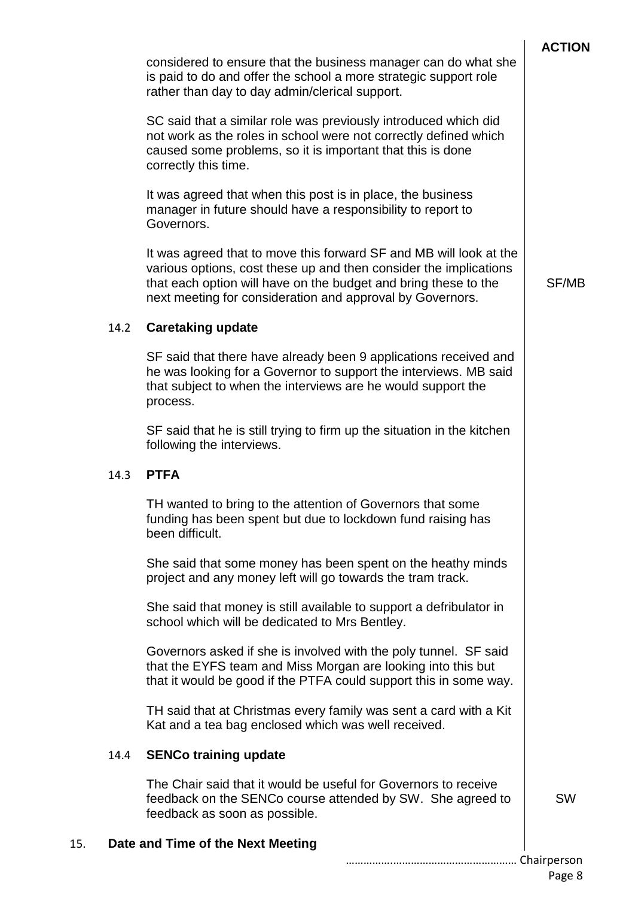|     |      |                                                                                                                                                                                                                                                                         | <b>ACTION</b> |
|-----|------|-------------------------------------------------------------------------------------------------------------------------------------------------------------------------------------------------------------------------------------------------------------------------|---------------|
|     |      | considered to ensure that the business manager can do what she<br>is paid to do and offer the school a more strategic support role<br>rather than day to day admin/clerical support.                                                                                    |               |
|     |      | SC said that a similar role was previously introduced which did<br>not work as the roles in school were not correctly defined which<br>caused some problems, so it is important that this is done<br>correctly this time.                                               |               |
|     |      | It was agreed that when this post is in place, the business<br>manager in future should have a responsibility to report to<br>Governors.                                                                                                                                |               |
|     |      | It was agreed that to move this forward SF and MB will look at the<br>various options, cost these up and then consider the implications<br>that each option will have on the budget and bring these to the<br>next meeting for consideration and approval by Governors. | SF/MB         |
|     | 14.2 | <b>Caretaking update</b>                                                                                                                                                                                                                                                |               |
|     |      | SF said that there have already been 9 applications received and<br>he was looking for a Governor to support the interviews. MB said<br>that subject to when the interviews are he would support the<br>process.                                                        |               |
|     |      | SF said that he is still trying to firm up the situation in the kitchen<br>following the interviews.                                                                                                                                                                    |               |
|     | 14.3 | <b>PTFA</b>                                                                                                                                                                                                                                                             |               |
|     |      | TH wanted to bring to the attention of Governors that some<br>funding has been spent but due to lockdown fund raising has<br>been difficult.                                                                                                                            |               |
|     |      | She said that some money has been spent on the heathy minds<br>project and any money left will go towards the tram track.                                                                                                                                               |               |
|     |      | She said that money is still available to support a defribulator in<br>school which will be dedicated to Mrs Bentley.                                                                                                                                                   |               |
|     |      | Governors asked if she is involved with the poly tunnel. SF said<br>that the EYFS team and Miss Morgan are looking into this but<br>that it would be good if the PTFA could support this in some way.                                                                   |               |
|     |      | TH said that at Christmas every family was sent a card with a Kit<br>Kat and a tea bag enclosed which was well received.                                                                                                                                                |               |
|     | 14.4 | <b>SENCo training update</b>                                                                                                                                                                                                                                            |               |
|     |      | The Chair said that it would be useful for Governors to receive<br>feedback on the SENCo course attended by SW. She agreed to<br>feedback as soon as possible.                                                                                                          | <b>SW</b>     |
| 15. |      | Date and Time of the Next Meeting                                                                                                                                                                                                                                       |               |
|     |      |                                                                                                                                                                                                                                                                         |               |